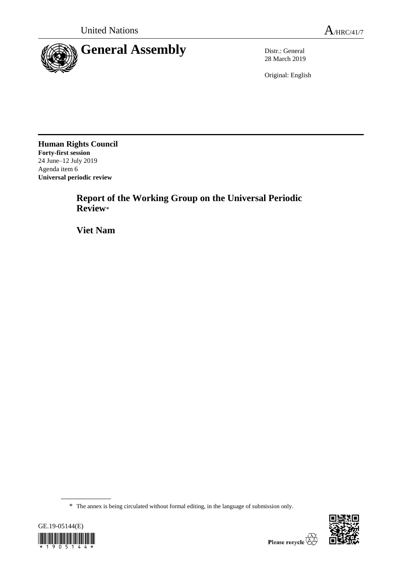

28 March 2019

Original: English

**Human Rights Council Forty-first session** 24 June–12 July 2019 Agenda item 6 **Universal periodic review**

> **Report of the Working Group on the Universal Periodic Review**\*

**Viet Nam**

<sup>\*</sup> The annex is being circulated without formal editing, in the language of submission only.



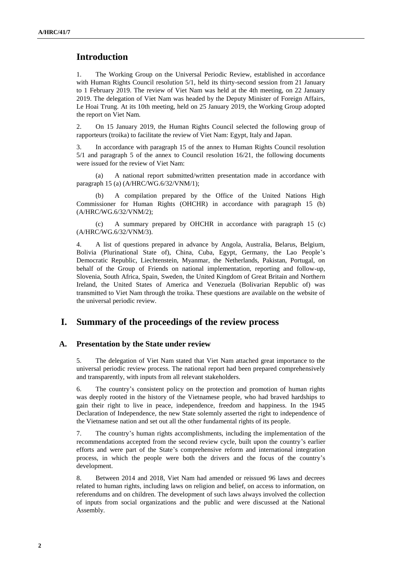# **Introduction**

1. The Working Group on the Universal Periodic Review, established in accordance with Human Rights Council resolution 5/1, held its thirty-second session from 21 January to 1 February 2019. The review of Viet Nam was held at the 4th meeting, on 22 January 2019. The delegation of Viet Nam was headed by the Deputy Minister of Foreign Affairs, Le Hoai Trung. At its 10th meeting, held on 25 January 2019, the Working Group adopted the report on Viet Nam.

2. On 15 January 2019, the Human Rights Council selected the following group of rapporteurs (troika) to facilitate the review of Viet Nam: Egypt, Italy and Japan.

3. In accordance with paragraph 15 of the annex to Human Rights Council resolution 5/1 and paragraph 5 of the annex to Council resolution 16/21, the following documents were issued for the review of Viet Nam:

(a) A national report submitted/written presentation made in accordance with paragraph 15 (a) (A/HRC/WG.6/32/VNM/1);

(b) A compilation prepared by the Office of the United Nations High Commissioner for Human Rights (OHCHR) in accordance with paragraph 15 (b) (A/HRC/WG.6/32/VNM/2);

(c) A summary prepared by OHCHR in accordance with paragraph 15 (c) (A/HRC/WG.6/32/VNM/3).

4. A list of questions prepared in advance by Angola, Australia, Belarus, Belgium, Bolivia (Plurinational State of), China, Cuba, Egypt, Germany, the Lao People's Democratic Republic, Liechtenstein, Myanmar, the Netherlands, Pakistan, Portugal, on behalf of the Group of Friends on national implementation, reporting and follow-up, Slovenia, South Africa, Spain, Sweden, the United Kingdom of Great Britain and Northern Ireland, the United States of America and Venezuela (Bolivarian Republic of) was transmitted to Viet Nam through the troika. These questions are available on the website of the universal periodic review.

## **I. Summary of the proceedings of the review process**

#### **A. Presentation by the State under review**

5. The delegation of Viet Nam stated that Viet Nam attached great importance to the universal periodic review process. The national report had been prepared comprehensively and transparently, with inputs from all relevant stakeholders.

6. The country's consistent policy on the protection and promotion of human rights was deeply rooted in the history of the Vietnamese people, who had braved hardships to gain their right to live in peace, independence, freedom and happiness. In the 1945 Declaration of Independence, the new State solemnly asserted the right to independence of the Vietnamese nation and set out all the other fundamental rights of its people.

7. The country's human rights accomplishments, including the implementation of the recommendations accepted from the second review cycle, built upon the country's earlier efforts and were part of the State's comprehensive reform and international integration process, in which the people were both the drivers and the focus of the country's development.

8. Between 2014 and 2018, Viet Nam had amended or reissued 96 laws and decrees related to human rights, including laws on religion and belief, on access to information, on referendums and on children. The development of such laws always involved the collection of inputs from social organizations and the public and were discussed at the National Assembly.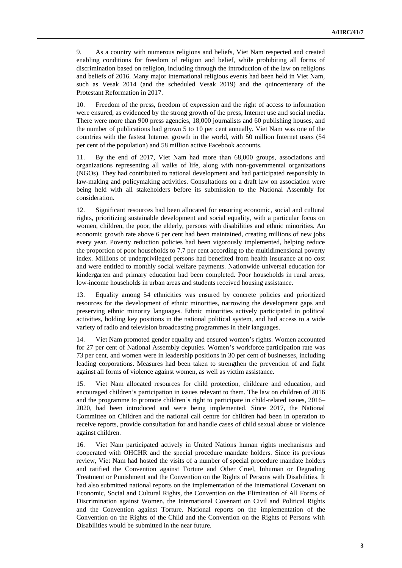9. As a country with numerous religions and beliefs, Viet Nam respected and created enabling conditions for freedom of religion and belief, while prohibiting all forms of discrimination based on religion, including through the introduction of the law on religions and beliefs of 2016. Many major international religious events had been held in Viet Nam, such as Vesak 2014 (and the scheduled Vesak 2019) and the quincentenary of the Protestant Reformation in 2017.

10. Freedom of the press, freedom of expression and the right of access to information were ensured, as evidenced by the strong growth of the press, Internet use and social media. There were more than 900 press agencies, 18,000 journalists and 60 publishing houses, and the number of publications had grown 5 to 10 per cent annually. Viet Nam was one of the countries with the fastest Internet growth in the world, with 50 million Internet users (54 per cent of the population) and 58 million active Facebook accounts.

11. By the end of 2017, Viet Nam had more than 68,000 groups, associations and organizations representing all walks of life, along with non-governmental organizations (NGOs). They had contributed to national development and had participated responsibly in law-making and policymaking activities. Consultations on a draft law on association were being held with all stakeholders before its submission to the National Assembly for consideration.

12. Significant resources had been allocated for ensuring economic, social and cultural rights, prioritizing sustainable development and social equality, with a particular focus on women, children, the poor, the elderly, persons with disabilities and ethnic minorities. An economic growth rate above 6 per cent had been maintained, creating millions of new jobs every year. Poverty reduction policies had been vigorously implemented, helping reduce the proportion of poor households to 7.7 per cent according to the multidimensional poverty index. Millions of underprivileged persons had benefited from health insurance at no cost and were entitled to monthly social welfare payments. Nationwide universal education for kindergarten and primary education had been completed. Poor households in rural areas, low-income households in urban areas and students received housing assistance.

13. Equality among 54 ethnicities was ensured by concrete policies and prioritized resources for the development of ethnic minorities, narrowing the development gaps and preserving ethnic minority languages. Ethnic minorities actively participated in political activities, holding key positions in the national political system, and had access to a wide variety of radio and television broadcasting programmes in their languages.

14. Viet Nam promoted gender equality and ensured women's rights. Women accounted for 27 per cent of National Assembly deputies. Women's workforce participation rate was 73 per cent, and women were in leadership positions in 30 per cent of businesses, including leading corporations. Measures had been taken to strengthen the prevention of and fight against all forms of violence against women, as well as victim assistance.

15. Viet Nam allocated resources for child protection, childcare and education, and encouraged children's participation in issues relevant to them. The law on children of 2016 and the programme to promote children's right to participate in child-related issues, 2016– 2020, had been introduced and were being implemented. Since 2017, the National Committee on Children and the national call centre for children had been in operation to receive reports, provide consultation for and handle cases of child sexual abuse or violence against children.

16. Viet Nam participated actively in United Nations human rights mechanisms and cooperated with OHCHR and the special procedure mandate holders. Since its previous review, Viet Nam had hosted the visits of a number of special procedure mandate holders and ratified the Convention against Torture and Other Cruel, Inhuman or Degrading Treatment or Punishment and the Convention on the Rights of Persons with Disabilities. It had also submitted national reports on the implementation of the International Covenant on Economic, Social and Cultural Rights, the Convention on the Elimination of All Forms of Discrimination against Women, the International Covenant on Civil and Political Rights and the Convention against Torture. National reports on the implementation of the Convention on the Rights of the Child and the Convention on the Rights of Persons with Disabilities would be submitted in the near future.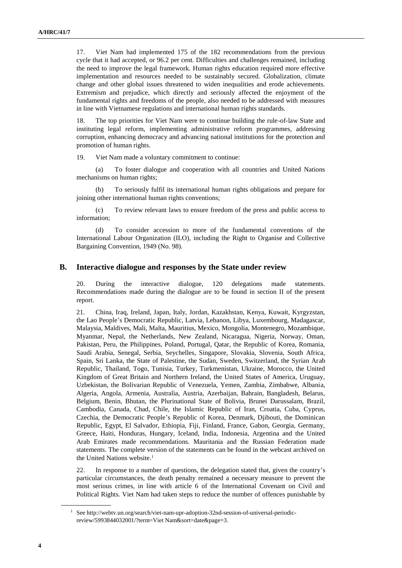17. Viet Nam had implemented 175 of the 182 recommendations from the previous cycle that it had accepted, or 96.2 per cent. Difficulties and challenges remained, including the need to improve the legal framework. Human rights education required more effective implementation and resources needed to be sustainably secured. Globalization, climate change and other global issues threatened to widen inequalities and erode achievements. Extremism and prejudice, which directly and seriously affected the enjoyment of the fundamental rights and freedoms of the people, also needed to be addressed with measures in line with Vietnamese regulations and international human rights standards.

18. The top priorities for Viet Nam were to continue building the rule-of-law State and instituting legal reform, implementing administrative reform programmes, addressing corruption, enhancing democracy and advancing national institutions for the protection and promotion of human rights.

19. Viet Nam made a voluntary commitment to continue:

(a) To foster dialogue and cooperation with all countries and United Nations mechanisms on human rights;

(b) To seriously fulfil its international human rights obligations and prepare for joining other international human rights conventions;

(c) To review relevant laws to ensure freedom of the press and public access to information;

(d) To consider accession to more of the fundamental conventions of the International Labour Organization (ILO), including the Right to Organise and Collective Bargaining Convention, 1949 (No. 98).

#### **B. Interactive dialogue and responses by the State under review**

20. During the interactive dialogue, 120 delegations made statements. Recommendations made during the dialogue are to be found in section II of the present report.

21. China, Iraq, Ireland, Japan, Italy, Jordan, Kazakhstan, Kenya, Kuwait, Kyrgyzstan, the Lao People's Democratic Republic, Latvia, Lebanon, Libya, Luxembourg, Madagascar, Malaysia, Maldives, Mali, Malta, Mauritius, Mexico, Mongolia, Montenegro, Mozambique, Myanmar, Nepal, the Netherlands, New Zealand, Nicaragua, Nigeria, Norway, Oman, Pakistan, Peru, the Philippines, Poland, Portugal, Qatar, the Republic of Korea, Romania, Saudi Arabia, Senegal, Serbia, Seychelles, Singapore, Slovakia, Slovenia, South Africa, Spain, Sri Lanka, the State of Palestine, the Sudan, Sweden, Switzerland, the Syrian Arab Republic, Thailand, Togo, Tunisia, Turkey, Turkmenistan, Ukraine, Morocco, the United Kingdom of Great Britain and Northern Ireland, the United States of America, Uruguay, Uzbekistan, the Bolivarian Republic of Venezuela, Yemen, Zambia, Zimbabwe, Albania, Algeria, Angola, Armenia, Australia, Austria, Azerbaijan, Bahrain, Bangladesh, Belarus, Belgium, Benin, Bhutan, the Plurinational State of Bolivia, Brunei Darussalam, Brazil, Cambodia, Canada, Chad, Chile, the Islamic Republic of Iran, Croatia, Cuba, Cyprus, Czechia, the Democratic People's Republic of Korea, Denmark, Djibouti, the Dominican Republic, Egypt, El Salvador, Ethiopia, Fiji, Finland, France, Gabon, Georgia, Germany, Greece, Haiti, Honduras, Hungary, Iceland, India, Indonesia, Argentina and the United Arab Emirates made recommendations. Mauritania and the Russian Federation made statements. The complete version of the statements can be found in the webcast archived on the United Nations website.<sup>1</sup>

22. In response to a number of questions, the delegation stated that, given the country's particular circumstances, the death penalty remained a necessary measure to prevent the most serious crimes, in line with article 6 of the International Covenant on Civil and Political Rights. Viet Nam had taken steps to reduce the number of offences punishable by

<sup>&</sup>lt;sup>1</sup> See http://webtv.un.org/search/viet-nam-upr-adoption-32nd-session-of-universal-periodicreview/5993844032001/?term=Viet Nam&sort=date&page=3.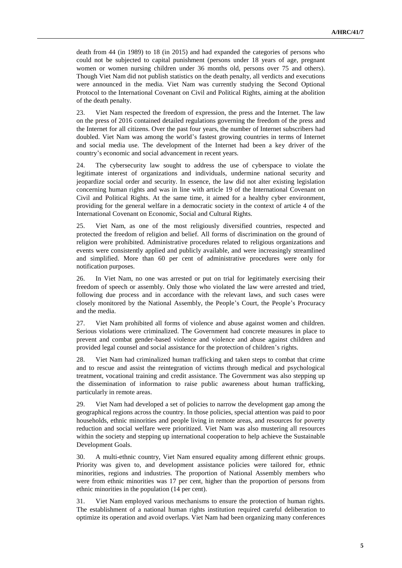death from 44 (in 1989) to 18 (in 2015) and had expanded the categories of persons who could not be subjected to capital punishment (persons under 18 years of age, pregnant women or women nursing children under 36 months old, persons over 75 and others). Though Viet Nam did not publish statistics on the death penalty, all verdicts and executions were announced in the media. Viet Nam was currently studying the Second Optional Protocol to the International Covenant on Civil and Political Rights, aiming at the abolition of the death penalty.

23. Viet Nam respected the freedom of expression, the press and the Internet. The law on the press of 2016 contained detailed regulations governing the freedom of the press and the Internet for all citizens. Over the past four years, the number of Internet subscribers had doubled. Viet Nam was among the world's fastest growing countries in terms of Internet and social media use. The development of the Internet had been a key driver of the country's economic and social advancement in recent years.

24. The cybersecurity law sought to address the use of cyberspace to violate the legitimate interest of organizations and individuals, undermine national security and jeopardize social order and security. In essence, the law did not alter existing legislation concerning human rights and was in line with article 19 of the International Covenant on Civil and Political Rights. At the same time, it aimed for a healthy cyber environment, providing for the general welfare in a democratic society in the context of article 4 of the International Covenant on Economic, Social and Cultural Rights.

25. Viet Nam, as one of the most religiously diversified countries, respected and protected the freedom of religion and belief. All forms of discrimination on the ground of religion were prohibited. Administrative procedures related to religious organizations and events were consistently applied and publicly available, and were increasingly streamlined and simplified. More than 60 per cent of administrative procedures were only for notification purposes.

26. In Viet Nam, no one was arrested or put on trial for legitimately exercising their freedom of speech or assembly. Only those who violated the law were arrested and tried, following due process and in accordance with the relevant laws, and such cases were closely monitored by the National Assembly, the People's Court, the People's Procuracy and the media.

27. Viet Nam prohibited all forms of violence and abuse against women and children. Serious violations were criminalized. The Government had concrete measures in place to prevent and combat gender-based violence and violence and abuse against children and provided legal counsel and social assistance for the protection of children's rights.

28. Viet Nam had criminalized human trafficking and taken steps to combat that crime and to rescue and assist the reintegration of victims through medical and psychological treatment, vocational training and credit assistance. The Government was also stepping up the dissemination of information to raise public awareness about human trafficking, particularly in remote areas.

29. Viet Nam had developed a set of policies to narrow the development gap among the geographical regions across the country. In those policies, special attention was paid to poor households, ethnic minorities and people living in remote areas, and resources for poverty reduction and social welfare were prioritized. Viet Nam was also mustering all resources within the society and stepping up international cooperation to help achieve the Sustainable Development Goals.

30. A multi-ethnic country, Viet Nam ensured equality among different ethnic groups. Priority was given to, and development assistance policies were tailored for, ethnic minorities, regions and industries. The proportion of National Assembly members who were from ethnic minorities was 17 per cent, higher than the proportion of persons from ethnic minorities in the population (14 per cent).

31. Viet Nam employed various mechanisms to ensure the protection of human rights. The establishment of a national human rights institution required careful deliberation to optimize its operation and avoid overlaps. Viet Nam had been organizing many conferences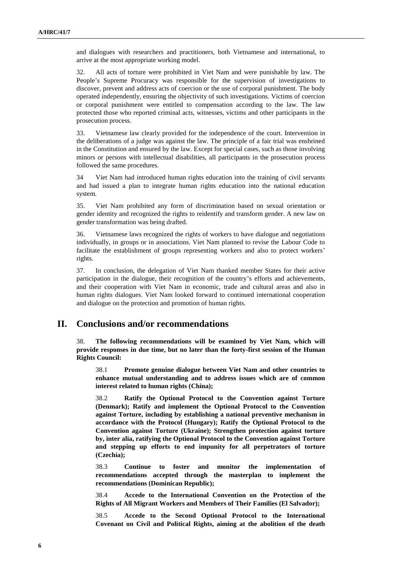and dialogues with researchers and practitioners, both Vietnamese and international, to arrive at the most appropriate working model.

32. All acts of torture were prohibited in Viet Nam and were punishable by law. The People's Supreme Procuracy was responsible for the supervision of investigations to discover, prevent and address acts of coercion or the use of corporal punishment. The body operated independently, ensuring the objectivity of such investigations. Victims of coercion or corporal punishment were entitled to compensation according to the law. The law protected those who reported criminal acts, witnesses, victims and other participants in the prosecution process.

33. Vietnamese law clearly provided for the independence of the court. Intervention in the deliberations of a judge was against the law. The principle of a fair trial was enshrined in the Constitution and ensured by the law. Except for special cases, such as those involving minors or persons with intellectual disabilities, all participants in the prosecution process followed the same procedures.

34 Viet Nam had introduced human rights education into the training of civil servants and had issued a plan to integrate human rights education into the national education system.

35. Viet Nam prohibited any form of discrimination based on sexual orientation or gender identity and recognized the rights to reidentify and transform gender. A new law on gender transformation was being drafted.

36. Vietnamese laws recognized the rights of workers to have dialogue and negotiations individually, in groups or in associations. Viet Nam planned to revise the Labour Code to facilitate the establishment of groups representing workers and also to protect workers' rights.

37. In conclusion, the delegation of Viet Nam thanked member States for their active participation in the dialogue, their recognition of the country's efforts and achievements, and their cooperation with Viet Nam in economic, trade and cultural areas and also in human rights dialogues. Viet Nam looked forward to continued international cooperation and dialogue on the protection and promotion of human rights.

### **II. Conclusions and/or recommendations**

38. **The following recommendations will be examined by Viet Nam, which will provide responses in due time, but no later than the forty-first session of the Human Rights Council:**

38.1 **Promote genuine dialogue between Viet Nam and other countries to enhance mutual understanding and to address issues which are of common interest related to human rights (China);**

38.2 **Ratify the Optional Protocol to the Convention against Torture (Denmark); Ratify and implement the Optional Protocol to the Convention against Torture, including by establishing a national preventive mechanism in accordance with the Protocol (Hungary); Ratify the Optional Protocol to the Convention against Torture (Ukraine); Strengthen protection against torture by, inter alia, ratifying the Optional Protocol to the Convention against Torture and stepping up efforts to end impunity for all perpetrators of torture (Czechia);**

38.3 **Continue to foster and monitor the implementation of recommendations accepted through the masterplan to implement the recommendations (Dominican Republic);**

38.4 **Accede to the International Convention on the Protection of the Rights of All Migrant Workers and Members of Their Families (El Salvador);**

38.5 **Accede to the Second Optional Protocol to the International Covenant on Civil and Political Rights, aiming at the abolition of the death**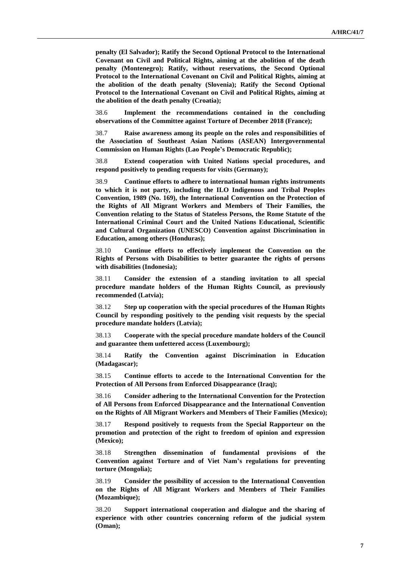**penalty (El Salvador); Ratify the Second Optional Protocol to the International Covenant on Civil and Political Rights, aiming at the abolition of the death penalty (Montenegro); Ratify, without reservations, the Second Optional Protocol to the International Covenant on Civil and Political Rights, aiming at the abolition of the death penalty (Slovenia); Ratify the Second Optional Protocol to the International Covenant on Civil and Political Rights, aiming at the abolition of the death penalty (Croatia);**

38.6 **Implement the recommendations contained in the concluding observations of the Committee against Torture of December 2018 (France);**

38.7 **Raise awareness among its people on the roles and responsibilities of the Association of Southeast Asian Nations (ASEAN) Intergovernmental Commission on Human Rights (Lao People's Democratic Republic);**

38.8 **Extend cooperation with United Nations special procedures, and respond positively to pending requests for visits (Germany);**

38.9 **Continue efforts to adhere to international human rights instruments to which it is not party, including the ILO Indigenous and Tribal Peoples Convention, 1989 (No. 169), the International Convention on the Protection of the Rights of All Migrant Workers and Members of Their Families, the Convention relating to the Status of Stateless Persons, the Rome Statute of the International Criminal Court and the United Nations Educational, Scientific and Cultural Organization (UNESCO) Convention against Discrimination in Education, among others (Honduras);**

38.10 **Continue efforts to effectively implement the Convention on the Rights of Persons with Disabilities to better guarantee the rights of persons with disabilities (Indonesia);**

38.11 **Consider the extension of a standing invitation to all special procedure mandate holders of the Human Rights Council, as previously recommended (Latvia);**

38.12 **Step up cooperation with the special procedures of the Human Rights Council by responding positively to the pending visit requests by the special procedure mandate holders (Latvia);**

38.13 **Cooperate with the special procedure mandate holders of the Council and guarantee them unfettered access (Luxembourg);**

38.14 **Ratify the Convention against Discrimination in Education (Madagascar);**

38.15 **Continue efforts to accede to the International Convention for the Protection of All Persons from Enforced Disappearance (Iraq);** 

38.16 **Consider adhering to the International Convention for the Protection of All Persons from Enforced Disappearance and the International Convention on the Rights of All Migrant Workers and Members of Their Families (Mexico);**

38.17 **Respond positively to requests from the Special Rapporteur on the promotion and protection of the right to freedom of opinion and expression (Mexico);**

38.18 **Strengthen dissemination of fundamental provisions of the Convention against Torture and of Viet Nam's regulations for preventing torture (Mongolia);**

38.19 **Consider the possibility of accession to the International Convention on the Rights of All Migrant Workers and Members of Their Families (Mozambique);**

38.20 **Support international cooperation and dialogue and the sharing of experience with other countries concerning reform of the judicial system (Oman);**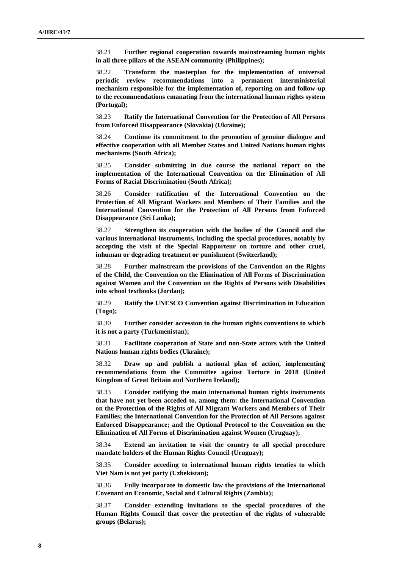38.21 **Further regional cooperation towards mainstreaming human rights in all three pillars of the ASEAN community (Philippines);**

38.22 **Transform the masterplan for the implementation of universal periodic review recommendations into a permanent interministerial mechanism responsible for the implementation of, reporting on and follow-up to the recommendations emanating from the international human rights system (Portugal);**

38.23 **Ratify the International Convention for the Protection of All Persons from Enforced Disappearance (Slovakia) (Ukraine);**

38.24 **Continue its commitment to the promotion of genuine dialogue and effective cooperation with all Member States and United Nations human rights mechanisms (South Africa);**

38.25 **Consider submitting in due course the national report on the implementation of the International Convention on the Elimination of All Forms of Racial Discrimination (South Africa);**

38.26 **Consider ratification of the International Convention on the Protection of All Migrant Workers and Members of Their Families and the International Convention for the Protection of All Persons from Enforced Disappearance (Sri Lanka);**

38.27 **Strengthen its cooperation with the bodies of the Council and the various international instruments, including the special procedures, notably by accepting the visit of the Special Rapporteur on torture and other cruel, inhuman or degrading treatment or punishment (Switzerland);**

38.28 **Further mainstream the provisions of the Convention on the Rights of the Child, the Convention on the Elimination of All Forms of Discrimination against Women and the Convention on the Rights of Persons with Disabilities into school textbooks (Jordan);**

38.29 **Ratify the UNESCO Convention against Discrimination in Education (Togo);**

38.30 **Further consider accession to the human rights conventions to which it is not a party (Turkmenistan);**

38.31 **Facilitate cooperation of State and non-State actors with the United Nations human rights bodies (Ukraine);**

38.32 **Draw up and publish a national plan of action, implementing recommendations from the Committee against Torture in 2018 (United Kingdom of Great Britain and Northern Ireland);**

38.33 **Consider ratifying the main international human rights instruments that have not yet been acceded to, among them: the International Convention on the Protection of the Rights of All Migrant Workers and Members of Their Families; the International Convention for the Protection of All Persons against Enforced Disappearance; and the Optional Protocol to the Convention on the Elimination of All Forms of Discrimination against Women (Uruguay);**

38.34 **Extend an invitation to visit the country to all special procedure mandate holders of the Human Rights Council (Uruguay);**

38.35 **Consider acceding to international human rights treaties to which Viet Nam is not yet party (Uzbekistan);**

38.36 **Fully incorporate in domestic law the provisions of the International Covenant on Economic, Social and Cultural Rights (Zambia);**

38.37 **Consider extending invitations to the special procedures of the Human Rights Council that cover the protection of the rights of vulnerable groups (Belarus);**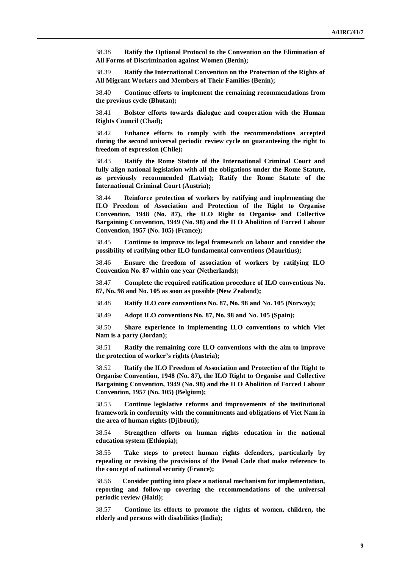38.38 **Ratify the Optional Protocol to the Convention on the Elimination of All Forms of Discrimination against Women (Benin);**

38.39 **Ratify the International Convention on the Protection of the Rights of All Migrant Workers and Members of Their Families (Benin);**

38.40 **Continue efforts to implement the remaining recommendations from the previous cycle (Bhutan);**

38.41 **Bolster efforts towards dialogue and cooperation with the Human Rights Council (Chad);**

38.42 **Enhance efforts to comply with the recommendations accepted during the second universal periodic review cycle on guaranteeing the right to freedom of expression (Chile);**

38.43 **Ratify the Rome Statute of the International Criminal Court and fully align national legislation with all the obligations under the Rome Statute, as previously recommended (Latvia); Ratify the Rome Statute of the International Criminal Court (Austria);**

38.44 **Reinforce protection of workers by ratifying and implementing the ILO Freedom of Association and Protection of the Right to Organise Convention, 1948 (No. 87), the ILO Right to Organise and Collective Bargaining Convention, 1949 (No. 98) and the ILO Abolition of Forced Labour Convention, 1957 (No. 105) (France);**

38.45 **Continue to improve its legal framework on labour and consider the possibility of ratifying other ILO fundamental conventions (Mauritius);**

38.46 **Ensure the freedom of association of workers by ratifying ILO Convention No. 87 within one year (Netherlands);**

38.47 **Complete the required ratification procedure of ILO conventions No. 87, No. 98 and No. 105 as soon as possible (New Zealand);**

38.48 **Ratify ILO core conventions No. 87, No. 98 and No. 105 (Norway);**

38.49 **Adopt ILO conventions No. 87, No. 98 and No. 105 (Spain);**

38.50 **Share experience in implementing ILO conventions to which Viet Nam is a party (Jordan);**

38.51 **Ratify the remaining core ILO conventions with the aim to improve the protection of worker's rights (Austria);**

38.52 **Ratify the ILO Freedom of Association and Protection of the Right to Organise Convention, 1948 (No. 87), the ILO Right to Organise and Collective Bargaining Convention, 1949 (No. 98) and the ILO Abolition of Forced Labour Convention, 1957 (No. 105) (Belgium);**

38.53 **Continue legislative reforms and improvements of the institutional framework in conformity with the commitments and obligations of Viet Nam in the area of human rights (Djibouti);**

38.54 **Strengthen efforts on human rights education in the national education system (Ethiopia);**

38.55 **Take steps to protect human rights defenders, particularly by repealing or revising the provisions of the Penal Code that make reference to the concept of national security (France);**

38.56 **Consider putting into place a national mechanism for implementation, reporting and follow-up covering the recommendations of the universal periodic review (Haiti);**

38.57 **Continue its efforts to promote the rights of women, children, the elderly and persons with disabilities (India);**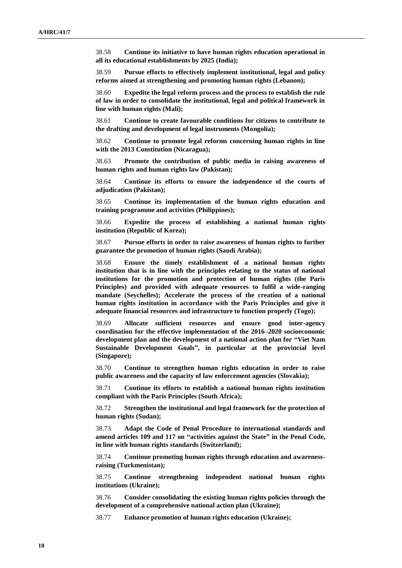38.58 **Continue its initiative to have human rights education operational in all its educational establishments by 2025 (India);**

38.59 **Pursue efforts to effectively implement institutional, legal and policy reforms aimed at strengthening and promoting human rights (Lebanon);**

38.60 **Expedite the legal reform process and the process to establish the rule of law in order to consolidate the institutional, legal and political framework in line with human rights (Mali);**

38.61 **Continue to create favourable conditions for citizens to contribute to the drafting and development of legal instruments (Mongolia);**

38.62 **Continue to promote legal reforms concerning human rights in line with the 2013 Constitution (Nicaragua);**

38.63 **Promote the contribution of public media in raising awareness of human rights and human rights law (Pakistan);**

38.64 **Continue its efforts to ensure the independence of the courts of adjudication (Pakistan);**

38.65 **Continue its implementation of the human rights education and training programme and activities (Philippines);**

38.66 **Expedite the process of establishing a national human rights institution (Republic of Korea);**

38.67 **Pursue efforts in order to raise awareness of human rights to further guarantee the promotion of human rights (Saudi Arabia);**

38.68 **Ensure the timely establishment of a national human rights institution that is in line with the principles relating to the status of national institutions for the promotion and protection of human rights (the Paris Principles) and provided with adequate resources to fulfil a wide-ranging mandate (Seychelles); Accelerate the process of the creation of a national human rights institution in accordance with the Paris Principles and give it adequate financial resources and infrastructure to function properly (Togo);**

38.69 **Allocate sufficient resources and ensure good inter-agency coordination for the effective implementation of the 2016–2020 socioeconomic development plan and the development of a national action plan for "Viet Nam Sustainable Development Goals", in particular at the provincial level (Singapore);**

38.70 **Continue to strengthen human rights education in order to raise public awareness and the capacity of law enforcement agencies (Slovakia);**

38.71 **Continue its efforts to establish a national human rights institution compliant with the Paris Principles (South Africa);**

38.72 **Strengthen the institutional and legal framework for the protection of human rights (Sudan);**

38.73 **Adapt the Code of Penal Procedure to international standards and amend articles 109 and 117 on "activities against the State" in the Penal Code, in line with human rights standards (Switzerland);**

38.74 **Continue promoting human rights through education and awarenessraising (Turkmenistan);**

38.75 **Continue strengthening independent national human rights institutions (Ukraine);**

38.76 **Consider consolidating the existing human rights policies through the development of a comprehensive national action plan (Ukraine);**

38.77 **Enhance promotion of human rights education (Ukraine);**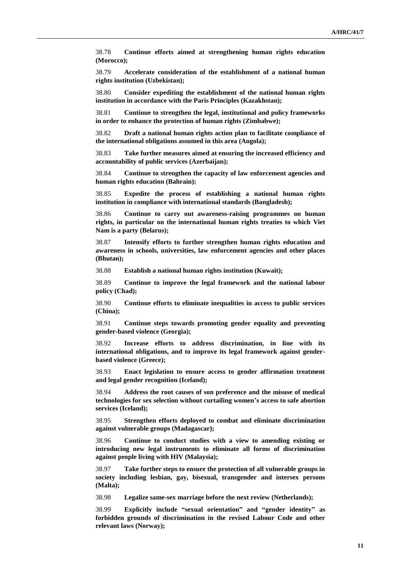38.78 **Continue efforts aimed at strengthening human rights education (Morocco);**

38.79 **Accelerate consideration of the establishment of a national human rights institution (Uzbekistan);**

38.80 **Consider expediting the establishment of the national human rights institution in accordance with the Paris Principles (Kazakhstan);**

38.81 **Continue to strengthen the legal, institutional and policy frameworks in order to enhance the protection of human rights (Zimbabwe);**

38.82 **Draft a national human rights action plan to facilitate compliance of the international obligations assumed in this area (Angola);**

38.83 **Take further measures aimed at ensuring the increased efficiency and accountability of public services (Azerbaijan);**

38.84 **Continue to strengthen the capacity of law enforcement agencies and human rights education (Bahrain);**

38.85 **Expedite the process of establishing a national human rights institution in compliance with international standards (Bangladesh);**

38.86 **Continue to carry out awareness-raising programmes on human rights, in particular on the international human rights treaties to which Viet Nam is a party (Belarus);**

38.87 **Intensify efforts to further strengthen human rights education and awareness in schools, universities, law enforcement agencies and other places (Bhutan);**

38.88 **Establish a national human rights institution (Kuwait);**

38.89 **Continue to improve the legal framework and the national labour policy (Chad);** 

38.90 **Continue efforts to eliminate inequalities in access to public services (China);**

38.91 **Continue steps towards promoting gender equality and preventing gender-based violence (Georgia);**

38.92 **Increase efforts to address discrimination, in line with its international obligations, and to improve its legal framework against genderbased violence (Greece);**

38.93 **Enact legislation to ensure access to gender affirmation treatment and legal gender recognition (Iceland);**

38.94 **Address the root causes of son preference and the misuse of medical technologies for sex selection without curtailing women's access to safe abortion services (Iceland);**

38.95 **Strengthen efforts deployed to combat and eliminate discrimination against vulnerable groups (Madagascar);**

38.96 **Continue to conduct studies with a view to amending existing or introducing new legal instruments to eliminate all forms of discrimination against people living with HIV (Malaysia);**

38.97 **Take further steps to ensure the protection of all vulnerable groups in society including lesbian, gay, bisexual, transgender and intersex persons (Malta);**

38.98 **Legalize same-sex marriage before the next review (Netherlands);**

38.99 **Explicitly include "sexual orientation" and "gender identity" as forbidden grounds of discrimination in the revised Labour Code and other relevant laws (Norway);**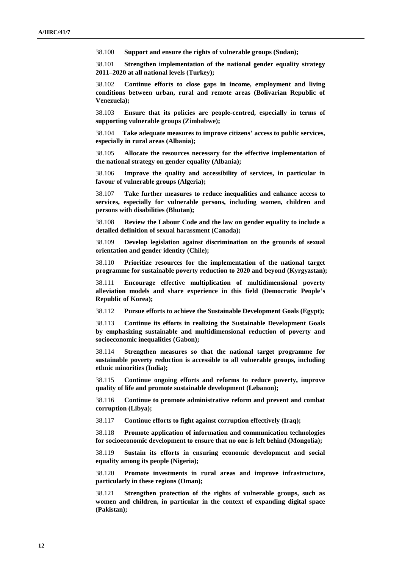38.100 **Support and ensure the rights of vulnerable groups (Sudan);**

38.101 **Strengthen implementation of the national gender equality strategy 2011–2020 at all national levels (Turkey);**

38.102 **Continue efforts to close gaps in income, employment and living conditions between urban, rural and remote areas (Bolivarian Republic of Venezuela);**

38.103 **Ensure that its policies are people-centred, especially in terms of supporting vulnerable groups (Zimbabwe);**

38.104 **Take adequate measures to improve citizens' access to public services, especially in rural areas (Albania);**

38.105 **Allocate the resources necessary for the effective implementation of the national strategy on gender equality (Albania);**

38.106 **Improve the quality and accessibility of services, in particular in favour of vulnerable groups (Algeria);**

38.107 **Take further measures to reduce inequalities and enhance access to services, especially for vulnerable persons, including women, children and persons with disabilities (Bhutan);**

38.108 **Review the Labour Code and the law on gender equality to include a detailed definition of sexual harassment (Canada);**

38.109 **Develop legislation against discrimination on the grounds of sexual orientation and gender identity (Chile);**

38.110 **Prioritize resources for the implementation of the national target programme for sustainable poverty reduction to 2020 and beyond (Kyrgyzstan);**

38.111 **Encourage effective multiplication of multidimensional poverty alleviation models and share experience in this field (Democratic People's Republic of Korea);**

38.112 **Pursue efforts to achieve the Sustainable Development Goals (Egypt);**

38.113 **Continue its efforts in realizing the Sustainable Development Goals by emphasizing sustainable and multidimensional reduction of poverty and socioeconomic inequalities (Gabon);**

38.114 **Strengthen measures so that the national target programme for sustainable poverty reduction is accessible to all vulnerable groups, including ethnic minorities (India);**

38.115 **Continue ongoing efforts and reforms to reduce poverty, improve quality of life and promote sustainable development (Lebanon);**

38.116 **Continue to promote administrative reform and prevent and combat corruption (Libya);**

38.117 **Continue efforts to fight against corruption effectively (Iraq);**

38.118 **Promote application of information and communication technologies for socioeconomic development to ensure that no one is left behind (Mongolia);**

38.119 **Sustain its efforts in ensuring economic development and social equality among its people (Nigeria);**

38.120 **Promote investments in rural areas and improve infrastructure, particularly in these regions (Oman);**

38.121 **Strengthen protection of the rights of vulnerable groups, such as women and children, in particular in the context of expanding digital space (Pakistan);**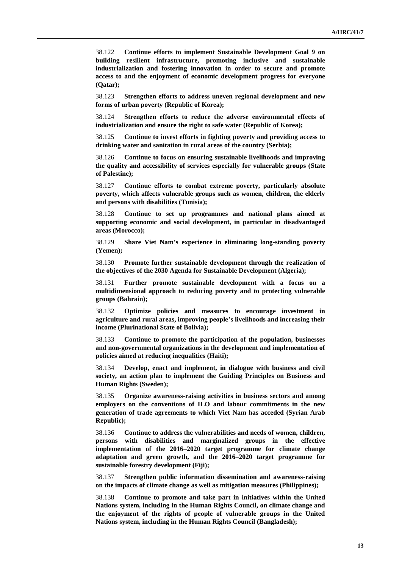38.122 **Continue efforts to implement Sustainable Development Goal 9 on building resilient infrastructure, promoting inclusive and sustainable industrialization and fostering innovation in order to secure and promote access to and the enjoyment of economic development progress for everyone (Qatar);**

38.123 **Strengthen efforts to address uneven regional development and new forms of urban poverty (Republic of Korea);**

38.124 **Strengthen efforts to reduce the adverse environmental effects of industrialization and ensure the right to safe water (Republic of Korea);**

38.125 **Continue to invest efforts in fighting poverty and providing access to drinking water and sanitation in rural areas of the country (Serbia);**

38.126 **Continue to focus on ensuring sustainable livelihoods and improving the quality and accessibility of services especially for vulnerable groups (State of Palestine);**

38.127 **Continue efforts to combat extreme poverty, particularly absolute poverty, which affects vulnerable groups such as women, children, the elderly and persons with disabilities (Tunisia);**

38.128 **Continue to set up programmes and national plans aimed at supporting economic and social development, in particular in disadvantaged areas (Morocco);**

38.129 **Share Viet Nam's experience in eliminating long-standing poverty (Yemen);**

38.130 **Promote further sustainable development through the realization of the objectives of the 2030 Agenda for Sustainable Development (Algeria);**

38.131 **Further promote sustainable development with a focus on a multidimensional approach to reducing poverty and to protecting vulnerable groups (Bahrain);**

38.132 **Optimize policies and measures to encourage investment in agriculture and rural areas, improving people's livelihoods and increasing their income (Plurinational State of Bolivia);**

38.133 **Continue to promote the participation of the population, businesses and non-governmental organizations in the development and implementation of policies aimed at reducing inequalities (Haiti);**

38.134 **Develop, enact and implement, in dialogue with business and civil society, an action plan to implement the Guiding Principles on Business and Human Rights (Sweden);**

38.135 **Organize awareness-raising activities in business sectors and among employers on the conventions of ILO and labour commitments in the new generation of trade agreements to which Viet Nam has acceded (Syrian Arab Republic);**

38.136 **Continue to address the vulnerabilities and needs of women, children, persons with disabilities and marginalized groups in the effective implementation of the 2016–2020 target programme for climate change adaptation and green growth, and the 2016–2020 target programme for sustainable forestry development (Fiji);**

38.137 **Strengthen public information dissemination and awareness-raising on the impacts of climate change as well as mitigation measures (Philippines);**

38.138 **Continue to promote and take part in initiatives within the United Nations system, including in the Human Rights Council, on climate change and the enjoyment of the rights of people of vulnerable groups in the United Nations system, including in the Human Rights Council (Bangladesh);**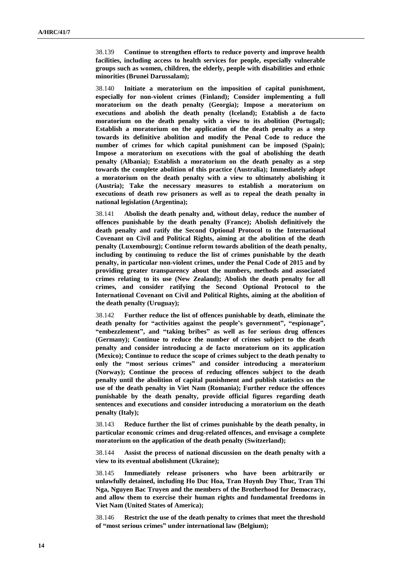38.139 **Continue to strengthen efforts to reduce poverty and improve health facilities, including access to health services for people, especially vulnerable groups such as women, children, the elderly, people with disabilities and ethnic minorities (Brunei Darussalam);**

38.140 **Initiate a moratorium on the imposition of capital punishment, especially for non-violent crimes (Finland); Consider implementing a full moratorium on the death penalty (Georgia); Impose a moratorium on executions and abolish the death penalty (Iceland); Establish a de facto moratorium on the death penalty with a view to its abolition (Portugal); Establish a moratorium on the application of the death penalty as a step towards its definitive abolition and modify the Penal Code to reduce the number of crimes for which capital punishment can be imposed (Spain); Impose a moratorium on executions with the goal of abolishing the death penalty (Albania); Establish a moratorium on the death penalty as a step towards the complete abolition of this practice (Australia); Immediately adopt a moratorium on the death penalty with a view to ultimately abolishing it (Austria); Take the necessary measures to establish a moratorium on executions of death row prisoners as well as to repeal the death penalty in national legislation (Argentina);**

38.141 **Abolish the death penalty and, without delay, reduce the number of offences punishable by the death penalty (France); Abolish definitively the death penalty and ratify the Second Optional Protocol to the International Covenant on Civil and Political Rights, aiming at the abolition of the death penalty (Luxembourg); Continue reform towards abolition of the death penalty, including by continuing to reduce the list of crimes punishable by the death penalty, in particular non-violent crimes, under the Penal Code of 2015 and by providing greater transparency about the numbers, methods and associated crimes relating to its use (New Zealand); Abolish the death penalty for all crimes, and consider ratifying the Second Optional Protocol to the International Covenant on Civil and Political Rights, aiming at the abolition of the death penalty (Uruguay);**

38.142 **Further reduce the list of offences punishable by death, eliminate the death penalty for "activities against the people's government", "espionage", "embezzlement", and "taking bribes" as well as for serious drug offences (Germany); Continue to reduce the number of crimes subject to the death penalty and consider introducing a de facto moratorium on its application (Mexico); Continue to reduce the scope of crimes subject to the death penalty to only the "most serious crimes" and consider introducing a moratorium (Norway); Continue the process of reducing offences subject to the death penalty until the abolition of capital punishment and publish statistics on the use of the death penalty in Viet Nam (Romania); Further reduce the offences punishable by the death penalty, provide official figures regarding death sentences and executions and consider introducing a moratorium on the death penalty (Italy);**

38.143 **Reduce further the list of crimes punishable by the death penalty, in particular economic crimes and drug-related offences, and envisage a complete moratorium on the application of the death penalty (Switzerland);**

38.144 **Assist the process of national discussion on the death penalty with a view to its eventual abolishment (Ukraine);**

38.145 **Immediately release prisoners who have been arbitrarily or unlawfully detained, including Ho Duc Hoa, Tran Huynh Duy Thuc, Tran Thi Nga, Nguyen Bac Truyen and the members of the Brotherhood for Democracy, and allow them to exercise their human rights and fundamental freedoms in Viet Nam (United States of America);**

38.146 **Restrict the use of the death penalty to crimes that meet the threshold of "most serious crimes" under international law (Belgium);**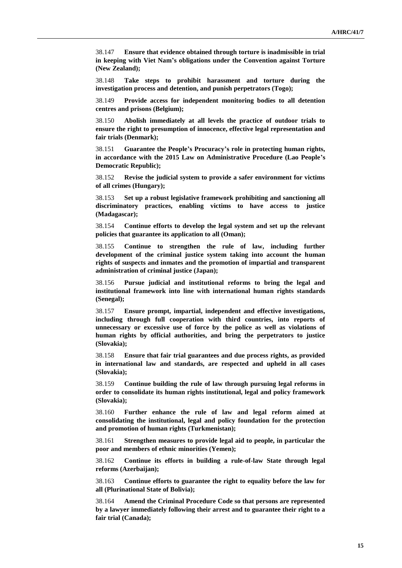38.147 **Ensure that evidence obtained through torture is inadmissible in trial in keeping with Viet Nam's obligations under the Convention against Torture (New Zealand);**

38.148 **Take steps to prohibit harassment and torture during the investigation process and detention, and punish perpetrators (Togo);**

38.149 **Provide access for independent monitoring bodies to all detention centres and prisons (Belgium);**

38.150 **Abolish immediately at all levels the practice of outdoor trials to ensure the right to presumption of innocence, effective legal representation and fair trials (Denmark);**

38.151 **Guarantee the People's Procuracy's role in protecting human rights, in accordance with the 2015 Law on Administrative Procedure (Lao People's Democratic Republic);**

38.152 **Revise the judicial system to provide a safer environment for victims of all crimes (Hungary);**

38.153 **Set up a robust legislative framework prohibiting and sanctioning all discriminatory practices, enabling victims to have access to justice (Madagascar);**

38.154 **Continue efforts to develop the legal system and set up the relevant policies that guarantee its application to all (Oman);**

38.155 **Continue to strengthen the rule of law, including further development of the criminal justice system taking into account the human rights of suspects and inmates and the promotion of impartial and transparent administration of criminal justice (Japan);**

38.156 **Pursue judicial and institutional reforms to bring the legal and institutional framework into line with international human rights standards (Senegal);**

38.157 **Ensure prompt, impartial, independent and effective investigations, including through full cooperation with third countries, into reports of unnecessary or excessive use of force by the police as well as violations of human rights by official authorities, and bring the perpetrators to justice (Slovakia);**

38.158 **Ensure that fair trial guarantees and due process rights, as provided in international law and standards, are respected and upheld in all cases (Slovakia);**

38.159 **Continue building the rule of law through pursuing legal reforms in order to consolidate its human rights institutional, legal and policy framework (Slovakia);**

38.160 **Further enhance the rule of law and legal reform aimed at consolidating the institutional, legal and policy foundation for the protection and promotion of human rights (Turkmenistan);**

38.161 **Strengthen measures to provide legal aid to people, in particular the poor and members of ethnic minorities (Yemen);**

38.162 **Continue its efforts in building a rule-of-law State through legal reforms (Azerbaijan);**

38.163 **Continue efforts to guarantee the right to equality before the law for all (Plurinational State of Bolivia);**

38.164 **Amend the Criminal Procedure Code so that persons are represented by a lawyer immediately following their arrest and to guarantee their right to a fair trial (Canada);**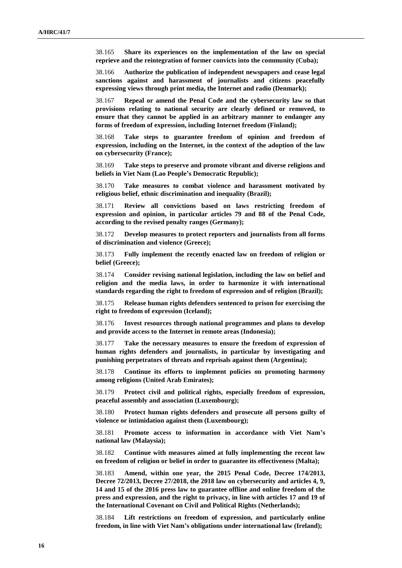38.165 **Share its experiences on the implementation of the law on special reprieve and the reintegration of former convicts into the community (Cuba);**

38.166 **Authorize the publication of independent newspapers and cease legal sanctions against and harassment of journalists and citizens peacefully expressing views through print media, the Internet and radio (Denmark);**

38.167 **Repeal or amend the Penal Code and the cybersecurity law so that provisions relating to national security are clearly defined or removed, to ensure that they cannot be applied in an arbitrary manner to endanger any forms of freedom of expression, including Internet freedom (Finland);**

38.168 **Take steps to guarantee freedom of opinion and freedom of expression, including on the Internet, in the context of the adoption of the law on cybersecurity (France);**

38.169 **Take steps to preserve and promote vibrant and diverse religions and beliefs in Viet Nam (Lao People's Democratic Republic);**

38.170 **Take measures to combat violence and harassment motivated by religious belief, ethnic discrimination and inequality (Brazil);**

38.171 **Review all convictions based on laws restricting freedom of expression and opinion, in particular articles 79 and 88 of the Penal Code, according to the revised penalty ranges (Germany);**

38.172 **Develop measures to protect reporters and journalists from all forms of discrimination and violence (Greece);**

38.173 **Fully implement the recently enacted law on freedom of religion or belief (Greece);**

38.174 **Consider revising national legislation, including the law on belief and religion and the media laws, in order to harmonize it with international standards regarding the right to freedom of expression and of religion (Brazil);**

38.175 **Release human rights defenders sentenced to prison for exercising the right to freedom of expression (Iceland);**

38.176 **Invest resources through national programmes and plans to develop and provide access to the Internet in remote areas (Indonesia);**

38.177 **Take the necessary measures to ensure the freedom of expression of human rights defenders and journalists, in particular by investigating and punishing perpetrators of threats and reprisals against them (Argentina);**

38.178 **Continue its efforts to implement policies on promoting harmony among religions (United Arab Emirates);**

38.179 **Protect civil and political rights, especially freedom of expression, peaceful assembly and association (Luxembourg);**

38.180 **Protect human rights defenders and prosecute all persons guilty of violence or intimidation against them (Luxembourg);**

38.181 **Promote access to information in accordance with Viet Nam's national law (Malaysia);**

38.182 **Continue with measures aimed at fully implementing the recent law on freedom of religion or belief in order to guarantee its effectiveness (Malta);**

38.183 **Amend, within one year, the 2015 Penal Code, Decree 174/2013, Decree 72/2013, Decree 27/2018, the 2018 law on cybersecurity and articles 4, 9, 14 and 15 of the 2016 press law to guarantee offline and online freedom of the press and expression, and the right to privacy, in line with articles 17 and 19 of the International Covenant on Civil and Political Rights (Netherlands);**

38.184 **Lift restrictions on freedom of expression, and particularly online freedom, in line with Viet Nam's obligations under international law (Ireland);**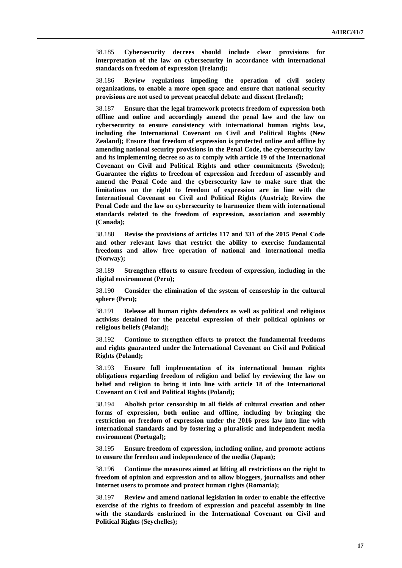38.185 **Cybersecurity decrees should include clear provisions for interpretation of the law on cybersecurity in accordance with international standards on freedom of expression (Ireland);**

38.186 **Review regulations impeding the operation of civil society organizations, to enable a more open space and ensure that national security provisions are not used to prevent peaceful debate and dissent (Ireland);**

38.187 **Ensure that the legal framework protects freedom of expression both offline and online and accordingly amend the penal law and the law on cybersecurity to ensure consistency with international human rights law, including the International Covenant on Civil and Political Rights (New Zealand); Ensure that freedom of expression is protected online and offline by amending national security provisions in the Penal Code, the cybersecurity law and its implementing decree so as to comply with article 19 of the International Covenant on Civil and Political Rights and other commitments (Sweden); Guarantee the rights to freedom of expression and freedom of assembly and amend the Penal Code and the cybersecurity law to make sure that the limitations on the right to freedom of expression are in line with the International Covenant on Civil and Political Rights (Austria); Review the Penal Code and the law on cybersecurity to harmonize them with international standards related to the freedom of expression, association and assembly (Canada);**

38.188 **Revise the provisions of articles 117 and 331 of the 2015 Penal Code and other relevant laws that restrict the ability to exercise fundamental freedoms and allow free operation of national and international media (Norway);**

38.189 **Strengthen efforts to ensure freedom of expression, including in the digital environment (Peru);**

38.190 **Consider the elimination of the system of censorship in the cultural sphere (Peru);**

38.191 **Release all human rights defenders as well as political and religious activists detained for the peaceful expression of their political opinions or religious beliefs (Poland);**

38.192 **Continue to strengthen efforts to protect the fundamental freedoms and rights guaranteed under the International Covenant on Civil and Political Rights (Poland);**

38.193 **Ensure full implementation of its international human rights obligations regarding freedom of religion and belief by reviewing the law on belief and religion to bring it into line with article 18 of the International Covenant on Civil and Political Rights (Poland);**

38.194 **Abolish prior censorship in all fields of cultural creation and other forms of expression, both online and offline, including by bringing the restriction on freedom of expression under the 2016 press law into line with international standards and by fostering a pluralistic and independent media environment (Portugal);**

38.195 **Ensure freedom of expression, including online, and promote actions to ensure the freedom and independence of the media (Japan);**

38.196 **Continue the measures aimed at lifting all restrictions on the right to freedom of opinion and expression and to allow bloggers, journalists and other Internet users to promote and protect human rights (Romania);**

38.197 **Review and amend national legislation in order to enable the effective exercise of the rights to freedom of expression and peaceful assembly in line with the standards enshrined in the International Covenant on Civil and Political Rights (Seychelles);**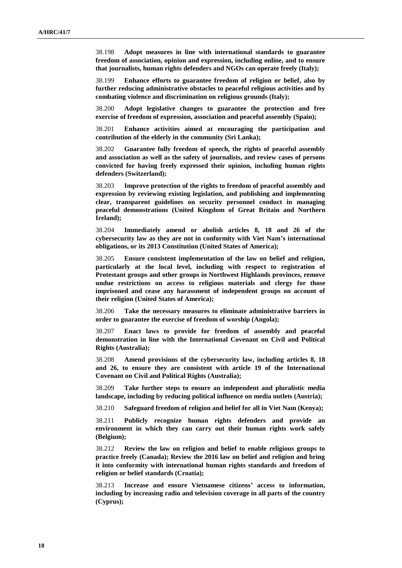38.198 **Adopt measures in line with international standards to guarantee freedom of association, opinion and expression, including online, and to ensure that journalists, human rights defenders and NGOs can operate freely (Italy);**

38.199 **Enhance efforts to guarantee freedom of religion or belief, also by further reducing administrative obstacles to peaceful religious activities and by combating violence and discrimination on religious grounds (Italy);**

38.200 **Adopt legislative changes to guarantee the protection and free exercise of freedom of expression, association and peaceful assembly (Spain);**

38.201 **Enhance activities aimed at encouraging the participation and contribution of the elderly in the community (Sri Lanka);**

38.202 **Guarantee fully freedom of speech, the rights of peaceful assembly and association as well as the safety of journalists, and review cases of persons convicted for having freely expressed their opinion, including human rights defenders (Switzerland);**

38.203 **Improve protection of the rights to freedom of peaceful assembly and expression by reviewing existing legislation, and publishing and implementing clear, transparent guidelines on security personnel conduct in managing peaceful demonstrations (United Kingdom of Great Britain and Northern Ireland);**

38.204 **Immediately amend or abolish articles 8, 18 and 26 of the cybersecurity law as they are not in conformity with Viet Nam's international obligations, or its 2013 Constitution (United States of America);**

38.205 **Ensure consistent implementation of the law on belief and religion, particularly at the local level, including with respect to registration of Protestant groups and other groups in Northwest Highlands provinces, remove undue restrictions on access to religious materials and clergy for those imprisoned and cease any harassment of independent groups on account of their religion (United States of America);**

38.206 **Take the necessary measures to eliminate administrative barriers in order to guarantee the exercise of freedom of worship (Angola);**

38.207 **Enact laws to provide for freedom of assembly and peaceful demonstration in line with the International Covenant on Civil and Political Rights (Australia);**

38.208 **Amend provisions of the cybersecurity law, including articles 8, 18 and 26, to ensure they are consistent with article 19 of the International Covenant on Civil and Political Rights (Australia);**

38.209 **Take further steps to ensure an independent and pluralistic media landscape, including by reducing political influence on media outlets (Austria);**

38.210 **Safeguard freedom of religion and belief for all in Viet Nam (Kenya);**

38.211 **Publicly recognize human rights defenders and provide an environment in which they can carry out their human rights work safely (Belgium);**

38.212 **Review the law on religion and belief to enable religious groups to practice freely (Canada); Review the 2016 law on belief and religion and bring it into conformity with international human rights standards and freedom of religion or belief standards (Croatia);**

38.213 **Increase and ensure Vietnamese citizens' access to information, including by increasing radio and television coverage in all parts of the country (Cyprus);**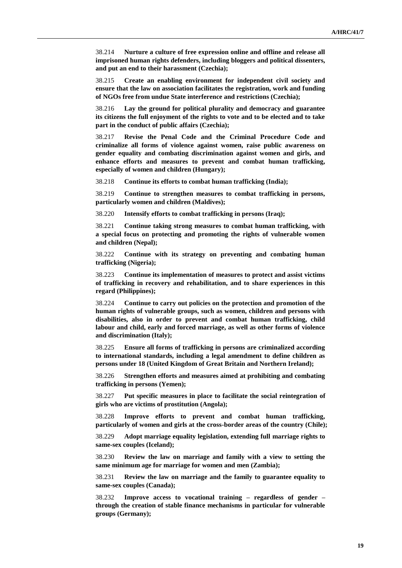38.214 **Nurture a culture of free expression online and offline and release all imprisoned human rights defenders, including bloggers and political dissenters, and put an end to their harassment (Czechia);**

38.215 **Create an enabling environment for independent civil society and ensure that the law on association facilitates the registration, work and funding of NGOs free from undue State interference and restrictions (Czechia);**

38.216 **Lay the ground for political plurality and democracy and guarantee its citizens the full enjoyment of the rights to vote and to be elected and to take part in the conduct of public affairs (Czechia);**

38.217 **Revise the Penal Code and the Criminal Procedure Code and criminalize all forms of violence against women, raise public awareness on gender equality and combating discrimination against women and girls, and enhance efforts and measures to prevent and combat human trafficking, especially of women and children (Hungary);**

38.218 **Continue its efforts to combat human trafficking (India);**

38.219 **Continue to strengthen measures to combat trafficking in persons, particularly women and children (Maldives);**

38.220 **Intensify efforts to combat trafficking in persons (Iraq);**

38.221 **Continue taking strong measures to combat human trafficking, with a special focus on protecting and promoting the rights of vulnerable women and children (Nepal);**

38.222 **Continue with its strategy on preventing and combating human trafficking (Nigeria);**

38.223 **Continue its implementation of measures to protect and assist victims of trafficking in recovery and rehabilitation, and to share experiences in this regard (Philippines);**

38.224 **Continue to carry out policies on the protection and promotion of the human rights of vulnerable groups, such as women, children and persons with disabilities, also in order to prevent and combat human trafficking, child labour and child, early and forced marriage, as well as other forms of violence and discrimination (Italy);**

38.225 **Ensure all forms of trafficking in persons are criminalized according to international standards, including a legal amendment to define children as persons under 18 (United Kingdom of Great Britain and Northern Ireland);**

38.226 **Strengthen efforts and measures aimed at prohibiting and combating trafficking in persons (Yemen);**

38.227 **Put specific measures in place to facilitate the social reintegration of girls who are victims of prostitution (Angola);**

38.228 **Improve efforts to prevent and combat human trafficking, particularly of women and girls at the cross-border areas of the country (Chile);**

38.229 **Adopt marriage equality legislation, extending full marriage rights to same-sex couples (Iceland);**

38.230 **Review the law on marriage and family with a view to setting the same minimum age for marriage for women and men (Zambia);**

38.231 **Review the law on marriage and the family to guarantee equality to same-sex couples (Canada);**

38.232 **Improve access to vocational training – regardless of gender – through the creation of stable finance mechanisms in particular for vulnerable groups (Germany);**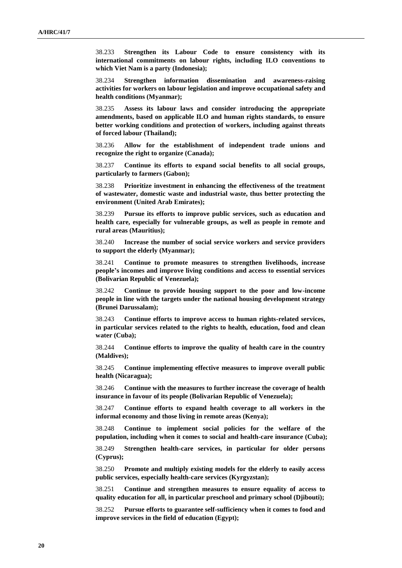38.233 **Strengthen its Labour Code to ensure consistency with its international commitments on labour rights, including ILO conventions to which Viet Nam is a party (Indonesia);**

38.234 **Strengthen information dissemination and awareness-raising activities for workers on labour legislation and improve occupational safety and health conditions (Myanmar);**

38.235 **Assess its labour laws and consider introducing the appropriate amendments, based on applicable ILO and human rights standards, to ensure better working conditions and protection of workers, including against threats of forced labour (Thailand);**

38.236 **Allow for the establishment of independent trade unions and recognize the right to organize (Canada);**

38.237 **Continue its efforts to expand social benefits to all social groups, particularly to farmers (Gabon);**

38.238 **Prioritize investment in enhancing the effectiveness of the treatment of wastewater, domestic waste and industrial waste, thus better protecting the environment (United Arab Emirates);**

38.239 **Pursue its efforts to improve public services, such as education and health care, especially for vulnerable groups, as well as people in remote and rural areas (Mauritius);**

38.240 **Increase the number of social service workers and service providers to support the elderly (Myanmar);**

38.241 **Continue to promote measures to strengthen livelihoods, increase people's incomes and improve living conditions and access to essential services (Bolivarian Republic of Venezuela);**

38.242 **Continue to provide housing support to the poor and low-income people in line with the targets under the national housing development strategy (Brunei Darussalam);**

38.243 **Continue efforts to improve access to human rights-related services, in particular services related to the rights to health, education, food and clean water (Cuba);**

38.244 **Continue efforts to improve the quality of health care in the country (Maldives);**

38.245 **Continue implementing effective measures to improve overall public health (Nicaragua);**

38.246 **Continue with the measures to further increase the coverage of health insurance in favour of its people (Bolivarian Republic of Venezuela);**

38.247 **Continue efforts to expand health coverage to all workers in the informal economy and those living in remote areas (Kenya);**

38.248 **Continue to implement social policies for the welfare of the population, including when it comes to social and health-care insurance (Cuba);**

38.249 **Strengthen health-care services, in particular for older persons (Cyprus);**

38.250 **Promote and multiply existing models for the elderly to easily access public services, especially health-care services (Kyrgyzstan);**

38.251 **Continue and strengthen measures to ensure equality of access to quality education for all, in particular preschool and primary school (Djibouti);**

38.252 **Pursue efforts to guarantee self-sufficiency when it comes to food and improve services in the field of education (Egypt);**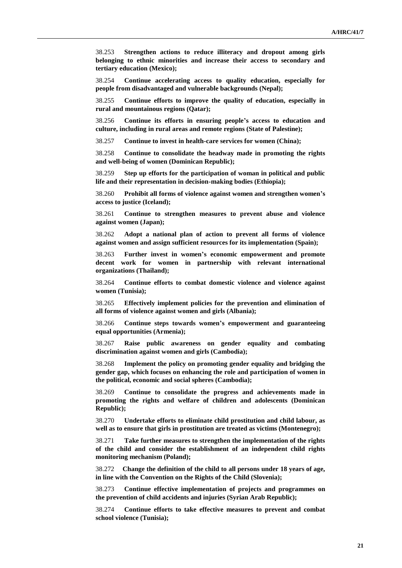38.253 **Strengthen actions to reduce illiteracy and dropout among girls belonging to ethnic minorities and increase their access to secondary and tertiary education (Mexico);**

38.254 **Continue accelerating access to quality education, especially for people from disadvantaged and vulnerable backgrounds (Nepal);**

38.255 **Continue efforts to improve the quality of education, especially in rural and mountainous regions (Qatar);**

38.256 **Continue its efforts in ensuring people's access to education and culture, including in rural areas and remote regions (State of Palestine);**

38.257 **Continue to invest in health-care services for women (China);**

38.258 **Continue to consolidate the headway made in promoting the rights and well-being of women (Dominican Republic);**

38.259 **Step up efforts for the participation of woman in political and public life and their representation in decision-making bodies (Ethiopia);**

38.260 **Prohibit all forms of violence against women and strengthen women's access to justice (Iceland);**

38.261 **Continue to strengthen measures to prevent abuse and violence against women (Japan);**

38.262 **Adopt a national plan of action to prevent all forms of violence against women and assign sufficient resources for its implementation (Spain);**

38.263 **Further invest in women's economic empowerment and promote decent work for women in partnership with relevant international organizations (Thailand);**

38.264 **Continue efforts to combat domestic violence and violence against women (Tunisia);**

38.265 **Effectively implement policies for the prevention and elimination of all forms of violence against women and girls (Albania);**

38.266 **Continue steps towards women's empowerment and guaranteeing equal opportunities (Armenia);**

38.267 **Raise public awareness on gender equality and combating discrimination against women and girls (Cambodia);**

38.268 **Implement the policy on promoting gender equality and bridging the gender gap, which focuses on enhancing the role and participation of women in the political, economic and social spheres (Cambodia);**

38.269 **Continue to consolidate the progress and achievements made in promoting the rights and welfare of children and adolescents (Dominican Republic);**

38.270 **Undertake efforts to eliminate child prostitution and child labour, as well as to ensure that girls in prostitution are treated as victims (Montenegro);**

38.271 **Take further measures to strengthen the implementation of the rights of the child and consider the establishment of an independent child rights monitoring mechanism (Poland);**

38.272 **Change the definition of the child to all persons under 18 years of age, in line with the Convention on the Rights of the Child (Slovenia);**

38.273 **Continue effective implementation of projects and programmes on the prevention of child accidents and injuries (Syrian Arab Republic);**

38.274 **Continue efforts to take effective measures to prevent and combat school violence (Tunisia);**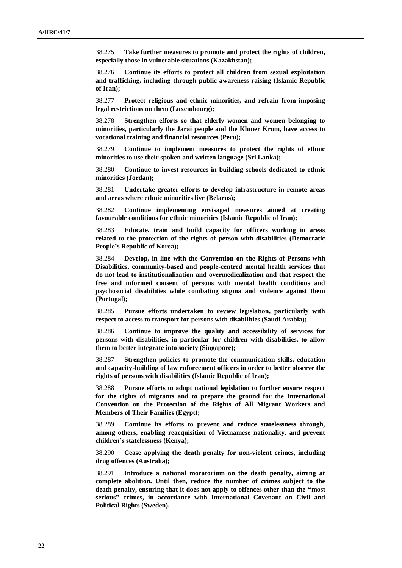38.275 **Take further measures to promote and protect the rights of children, especially those in vulnerable situations (Kazakhstan);**

38.276 **Continue its efforts to protect all children from sexual exploitation and trafficking, including through public awareness-raising (Islamic Republic of Iran);**

38.277 **Protect religious and ethnic minorities, and refrain from imposing legal restrictions on them (Luxembourg);**

38.278 **Strengthen efforts so that elderly women and women belonging to minorities, particularly the Jarai people and the Khmer Krom, have access to vocational training and financial resources (Peru);**

38.279 **Continue to implement measures to protect the rights of ethnic minorities to use their spoken and written language (Sri Lanka);**

38.280 **Continue to invest resources in building schools dedicated to ethnic minorities (Jordan);**

38.281 **Undertake greater efforts to develop infrastructure in remote areas and areas where ethnic minorities live (Belarus);**

38.282 **Continue implementing envisaged measures aimed at creating favourable conditions for ethnic minorities (Islamic Republic of Iran);**

38.283 **Educate, train and build capacity for officers working in areas related to the protection of the rights of person with disabilities (Democratic People's Republic of Korea);**

38.284 **Develop, in line with the Convention on the Rights of Persons with Disabilities, community-based and people-centred mental health services that do not lead to institutionalization and overmedicalization and that respect the free and informed consent of persons with mental health conditions and psychosocial disabilities while combating stigma and violence against them (Portugal);**

38.285 **Pursue efforts undertaken to review legislation, particularly with respect to access to transport for persons with disabilities (Saudi Arabia);**

38.286 **Continue to improve the quality and accessibility of services for persons with disabilities, in particular for children with disabilities, to allow them to better integrate into society (Singapore);**

38.287 **Strengthen policies to promote the communication skills, education and capacity-building of law enforcement officers in order to better observe the rights of persons with disabilities (Islamic Republic of Iran);**

38.288 **Pursue efforts to adopt national legislation to further ensure respect for the rights of migrants and to prepare the ground for the International Convention on the Protection of the Rights of All Migrant Workers and Members of Their Families (Egypt);**

38.289 **Continue its efforts to prevent and reduce statelessness through, among others, enabling reacquisition of Vietnamese nationality, and prevent children's statelessness (Kenya);**

38.290 **Cease applying the death penalty for non-violent crimes, including drug offences (Australia);**

38.291 **Introduce a national moratorium on the death penalty, aiming at complete abolition. Until then, reduce the number of crimes subject to the death penalty, ensuring that it does not apply to offences other than the "most serious" crimes, in accordance with International Covenant on Civil and Political Rights (Sweden).**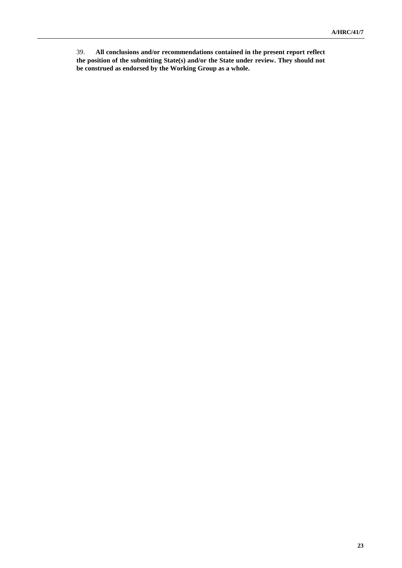39. **All conclusions and/or recommendations contained in the present report reflect the position of the submitting State(s) and/or the State under review. They should not be construed as endorsed by the Working Group as a whole.**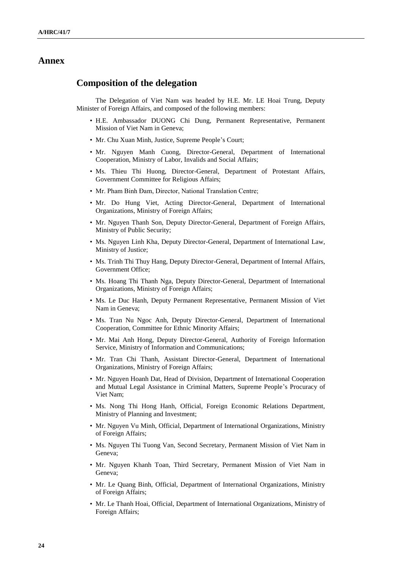#### **Annex**

#### **Composition of the delegation**

The Delegation of Viet Nam was headed by H.E. Mr. LE Hoai Trung, Deputy Minister of Foreign Affairs, and composed of the following members:

- H.E. Ambassador DUONG Chi Dung, Permanent Representative, Permanent Mission of Viet Nam in Geneva;
- Mr. Chu Xuan Minh, Justice, Supreme People's Court;
- Mr. Nguyen Manh Cuong, Director-General, Department of International Cooperation, Ministry of Labor, Invalids and Social Affairs;
- Ms. Thieu Thi Huong, Director-General, Department of Protestant Affairs, Government Committee for Religious Affairs;
- Mr. Pham Binh Đam, Director, National Translation Centre;
- Mr. Do Hung Viet, Acting Director-General, Department of International Organizations, Ministry of Foreign Affairs;
- Mr. Nguyen Thanh Son, Deputy Director-General, Department of Foreign Affairs, Ministry of Public Security;
- Ms. Nguyen Linh Kha, Deputy Director-General, Department of International Law, Ministry of Justice;
- Ms. Trinh Thi Thuy Hang, Deputy Director-General, Department of Internal Affairs, Government Office;
- Ms. Hoang Thi Thanh Nga, Deputy Director-General, Department of International Organizations, Ministry of Foreign Affairs;
- Ms. Le Duc Hanh, Deputy Permanent Representative, Permanent Mission of Viet Nam in Geneva;
- Ms. Tran Nu Ngoc Anh, Deputy Director-General, Department of International Cooperation, Committee for Ethnic Minority Affairs;
- Mr. Mai Anh Hong, Deputy Director-General, Authority of Foreign Information Service, Ministry of Information and Communications;
- Mr. Tran Chi Thanh, Assistant Director-General, Department of International Organizations, Ministry of Foreign Affairs;
- Mr. Nguyen Hoanh Dat, Head of Division, Department of International Cooperation and Mutual Legal Assistance in Criminal Matters, Supreme People's Procuracy of Viet Nam;
- Ms. Nong Thi Hong Hanh, Official, Foreign Economic Relations Department, Ministry of Planning and Investment;
- Mr. Nguyen Vu Minh, Official, Department of International Organizations, Ministry of Foreign Affairs;
- Ms. Nguyen Thi Tuong Van, Second Secretary, Permanent Mission of Viet Nam in Geneva;
- Mr. Nguyen Khanh Toan, Third Secretary, Permanent Mission of Viet Nam in Geneva;
- Mr. Le Quang Binh, Official, Department of International Organizations, Ministry of Foreign Affairs;
- Mr. Le Thanh Hoai, Official, Department of International Organizations, Ministry of Foreign Affairs;